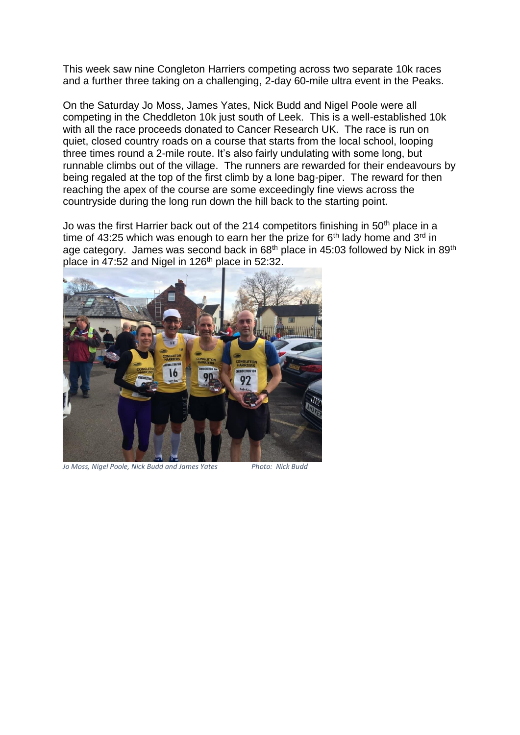This week saw nine Congleton Harriers competing across two separate 10k races and a further three taking on a challenging, 2-day 60-mile ultra event in the Peaks.

On the Saturday Jo Moss, James Yates, Nick Budd and Nigel Poole were all competing in the Cheddleton 10k just south of Leek. This is a well-established 10k with all the race proceeds donated to Cancer Research UK. The race is run on quiet, closed country roads on a course that starts from the local school, looping three times round a 2-mile route. It's also fairly undulating with some long, but runnable climbs out of the village. The runners are rewarded for their endeavours by being regaled at the top of the first climb by a lone bag-piper. The reward for then reaching the apex of the course are some exceedingly fine views across the countryside during the long run down the hill back to the starting point.

Jo was the first Harrier back out of the 214 competitors finishing in  $50<sup>th</sup>$  place in a time of 43:25 which was enough to earn her the prize for  $6<sup>th</sup>$  lady home and 3<sup>rd</sup> in age category. James was second back in 68<sup>th</sup> place in 45:03 followed by Nick in 89<sup>th</sup> place in 47:52 and Nigel in 126th place in 52:32.



*Jo Moss, Nigel Poole, Nick Budd and James Yates Photo: Nick Budd*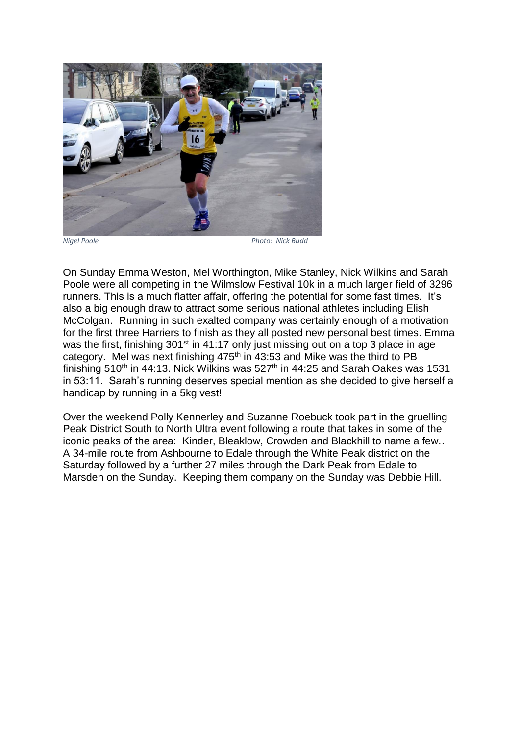

*Nigel Poole Photo: Nick Budd*

On Sunday Emma Weston, Mel Worthington, Mike Stanley, Nick Wilkins and Sarah Poole were all competing in the Wilmslow Festival 10k in a much larger field of 3296 runners. This is a much flatter affair, offering the potential for some fast times. It's also a big enough draw to attract some serious national athletes including Elish McColgan. Running in such exalted company was certainly enough of a motivation for the first three Harriers to finish as they all posted new personal best times. Emma was the first, finishing 301<sup>st</sup> in 41:17 only just missing out on a top 3 place in age category. Mel was next finishing  $475<sup>th</sup>$  in  $43:53$  and Mike was the third to PB finishing 510<sup>th</sup> in 44:13. Nick Wilkins was 527<sup>th</sup> in 44:25 and Sarah Oakes was 1531 in 53:11. Sarah's running deserves special mention as she decided to give herself a handicap by running in a 5kg vest!

Over the weekend Polly Kennerley and Suzanne Roebuck took part in the gruelling Peak District South to North Ultra event following a route that takes in some of the iconic peaks of the area: Kinder, Bleaklow, Crowden and Blackhill to name a few.. A 34-mile route from Ashbourne to Edale through the White Peak district on the Saturday followed by a further 27 miles through the Dark Peak from Edale to Marsden on the Sunday. Keeping them company on the Sunday was Debbie Hill.